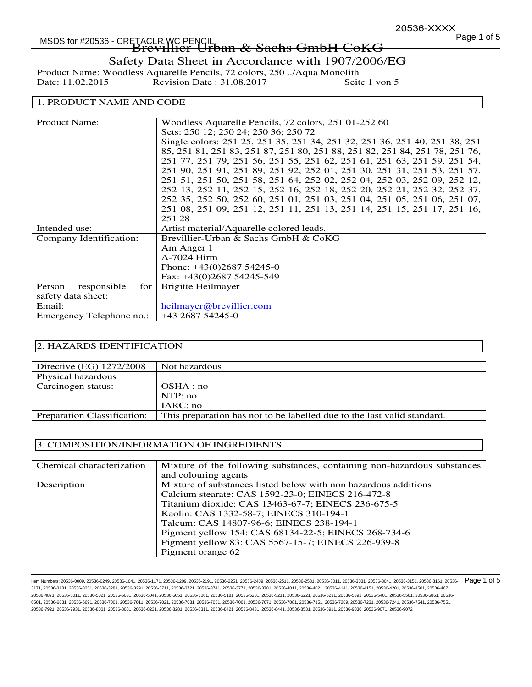# Safety Data Sheet in Accordance with 1907/2006/EG

Product Name: Woodless Aquarelle Pencils, 72 colors, 250 ../Aqua Monolith Revision Date : 31.08.2017 Seite 1 von 5

### 1. PRODUCT NAME AND CODE

| <b>Product Name:</b>         | Woodless Aquarelle Pencils, 72 colors, 251 01-252 60                        |
|------------------------------|-----------------------------------------------------------------------------|
|                              | Sets: 250 12; 250 24; 250 36; 250 72                                        |
|                              | Single colors: 251 25, 251 35, 251 34, 251 32, 251 36, 251 40, 251 38, 251  |
|                              | 85, 251 81, 251 83, 251 87, 251 80, 251 88, 251 82, 251 84, 251 78, 251 76, |
|                              | 251 77, 251 79, 251 56, 251 55, 251 62, 251 61, 251 63, 251 59, 251 54,     |
|                              | 251 90, 251 91, 251 89, 251 92, 252 01, 251 30, 251 31, 251 53, 251 57,     |
|                              | 251 51, 251 50, 251 58, 251 64, 252 02, 252 04, 252 03, 252 09, 252 12,     |
|                              | 252 13, 252 11, 252 15, 252 16, 252 18, 252 20, 252 21, 252 32, 252 37,     |
|                              | 252 35, 252 50, 252 60, 251 01, 251 03, 251 04, 251 05, 251 06, 251 07,     |
|                              | 251 08, 251 09, 251 12, 251 11, 251 13, 251 14, 251 15, 251 17, 251 16,     |
|                              | 251 28                                                                      |
| Intended use:                | Artist material/Aquarelle colored leads.                                    |
| Company Identification:      | Brevillier-Urban & Sachs GmbH & CoKG                                        |
|                              | Am Anger 1                                                                  |
|                              | A-7024 Hirm                                                                 |
|                              | Phone: $+43(0)268754245-0$                                                  |
|                              | Fax: $+43(0)268754245-549$                                                  |
| Person<br>responsible<br>for | Brigitte Heilmayer                                                          |
| safety data sheet:           |                                                                             |
| Email:                       | heilmayer@brevillier.com                                                    |
| Emergency Telephone no.:     | $+43$ 2687 54245-0                                                          |

### 2. HAZARDS IDENTIFICATION

| Directive (EG) 1272/2008    | Not hazardous                                                           |
|-----------------------------|-------------------------------------------------------------------------|
| Physical hazardous          |                                                                         |
| Carcinogen status:          | OSHA:no                                                                 |
|                             | NTP:no                                                                  |
|                             | IARC: no                                                                |
| Preparation Classification: | This preparation has not to be labelled due to the last valid standard. |

### 3. COMPOSITION/INFORMATION OF INGREDIENTS

| Chemical characterization | Mixture of the following substances, containing non-hazardous substances |
|---------------------------|--------------------------------------------------------------------------|
|                           | and colouring agents                                                     |
| Description               | Mixture of substances listed below with non hazardous additions          |
|                           | Calcium stearate: CAS 1592-23-0; EINECS 216-472-8                        |
|                           | Titanium dioxide: CAS 13463-67-7; EINECS 236-675-5                       |
|                           | Kaolin: CAS 1332-58-7; EINECS 310-194-1                                  |
|                           | Talcum: CAS 14807-96-6; EINECS 238-194-1                                 |
|                           | Pigment yellow 154: CAS 68134-22-5; EINECS 268-734-6                     |
|                           | Pigment yellow 83: CAS 5567-15-7; EINECS 226-939-8                       |
|                           | Pigment orange 62                                                        |

ltem Numbers: 20536-0009, 20536-0249, 20536-1041, 20536-1171, 20536-1209, 20536-2191, 20536-2531, 20536-2531, 20536-2511, 20536-3011, 20536-3031, 20536-3031, 20536-3041, 20536-3151, 20536-3161, 20536-3041, 20536-3041, 2053 3171, 20536-3181, 20536-3251, 20536-3281, 20536-3291, 20536-3711, 20536-3721, 20536-3741, 20536-3771, 20536-3781, 20536-4011, 20536-4021, 20536-4141, 20536-4151, 20536-4201, 20536-4501, 20536-4671, 20536-4871, 20536-5011, 20536-5021, 20536-5031, 20536-5041, 20536-5051, 20536-5061, 20536-5181, 20536-5201, 20536-5211, 20536-5221, 20536-5231, 20536-5391, 20536-5401, 20536-5561, 20536-5861, 20536- 6501, 20536-6631, 20536-6691, 20536-7001, 20536-7011, 20536-7021, 20536-7031, 20536-7061, 20536-7071, 20536-7281, 20536-7209, 20536-7230, 20536-7241, 20536-7241, 20536-7241, 20536-7551, 20536-7921, 20536-7931, 20536-8001, 20536-8081, 20536-8231, 20536-8281, 20536-8311, 20536-8421, 20536-8431, 20536-8441, 20536-8531, 20536-8911, 20536-9036, 20536-9071, 20536-9072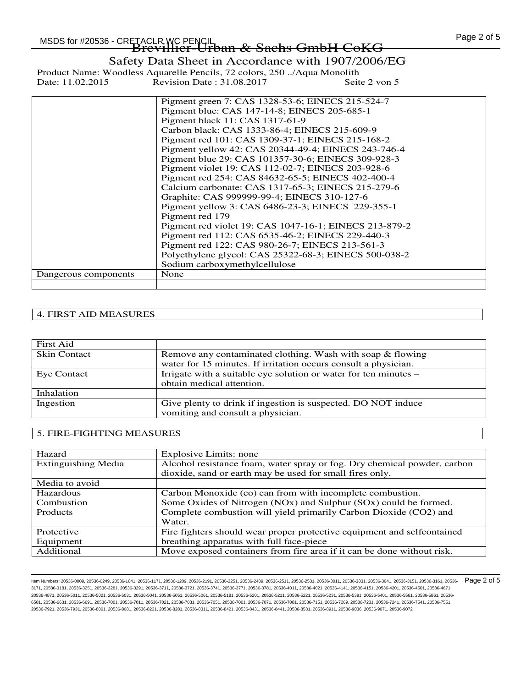## MSDS for #20536 - CRETACLR WC PENCIL CORPORATION AT THE CONTROL CONTROL Page 2 of 5 -TACLR.WC PENGIL<br>Brevillier-Urban & Sachs GmbH CoKG Safety Data Sheet in Accordance with 1907/2006/EG Product Name: Woodless Aquarelle Pencils, 72 colors, 250 ../Aqua Monolith Revision Date : 31.08.2017 Seite 2 von 5 Pigment green 7: CAS 1328-53-6; EINECS 215-524-7 Pigment blue: CAS 147-14-8; EINECS 205-685-1 Pigment black 11: CAS 1317-61-9 Carbon black: CAS 1333-86-4; EINECS 215-609-9 Pigment red 101: CAS 1309-37-1; EINECS 215-168-2 Pigment yellow 42: CAS 20344-49-4; EINECS 243-746-4 Pigment blue 29: CAS 101357-30-6; EINECS 309-928-3

|                      | Pigment violet 19: CAS 112-02-7; EINECS 203-928-6      |
|----------------------|--------------------------------------------------------|
|                      | Pigment red 254: CAS 84632-65-5; EINECS 402-400-4      |
|                      | Calcium carbonate: CAS 1317-65-3; EINECS 215-279-6     |
|                      | Graphite: CAS 999999-99-4; EINECS 310-127-6            |
|                      | Pigment yellow 3: CAS 6486-23-3; EINECS 229-355-1      |
|                      | Pigment red 179                                        |
|                      | Pigment red violet 19: CAS 1047-16-1; EINECS 213-879-2 |
|                      | Pigment red 112: CAS 6535-46-2; EINECS 229-440-3       |
|                      | Pigment red 122: CAS 980-26-7; EINECS 213-561-3        |
|                      | Polyethylene glycol: CAS 25322-68-3; EINECS 500-038-2  |
|                      | Sodium carboxymethylcellulose                          |
| Dangerous components | None                                                   |
|                      |                                                        |

### 4. FIRST AID MEASURES

| First Aid           |                                                                  |
|---------------------|------------------------------------------------------------------|
| <b>Skin Contact</b> | Remove any contaminated clothing. Wash with soap & flowing       |
|                     | water for 15 minutes. If irritation occurs consult a physician.  |
| Eye Contact         | Irrigate with a suitable eye solution or water for ten minutes – |
|                     | obtain medical attention.                                        |
| Inhalation          |                                                                  |
| Ingestion           | Give plenty to drink if ingestion is suspected. DO NOT induce    |
|                     | vomiting and consult a physician.                                |

### 5. FIRE-FIGHTING MEASURES

| Hazard                     | Explosive Limits: none                                                   |
|----------------------------|--------------------------------------------------------------------------|
| <b>Extinguishing Media</b> | Alcohol resistance foam, water spray or fog. Dry chemical powder, carbon |
|                            | dioxide, sand or earth may be used for small fires only.                 |
| Media to avoid             |                                                                          |
| <b>Hazardous</b>           | Carbon Monoxide (co) can from with incomplete combustion.                |
| Combustion                 | Some Oxides of Nitrogen (NOx) and Sulphur (SOx) could be formed.         |
| <b>Products</b>            | Complete combustion will yield primarily Carbon Dioxide (CO2) and        |
|                            | Water.                                                                   |
| Protective                 | Fire fighters should wear proper protective equipment and selfcontained  |
| Equipment                  | breathing apparatus with full face-piece                                 |
| Additional                 | Move exposed containers from fire area if it can be done without risk.   |

ltem Numbers: 20536-0009, 20536-0249, 20536-1041, 20536-1171, 20536-1209, 20536-2191, 20536-2531, 20536-2531, 20536-2511, 20536-3011, 20536-3031, 20536-3031, 20536-3041, 20536-3151, 20536-3161, 20536-3041, 20536-3041, 2053 3171, 20536-3181, 20536-3251, 20536-3281, 20536-3291, 20536-3711, 20536-3721, 20536-3741, 20536-3771, 20536-3781, 20536-4011, 20536-4021, 20536-4141, 20536-4151, 20536-4201, 20536-4501, 20536-4671, 20536-4871, 20536-5011, 20536-5021, 20536-5031, 20536-5041, 20536-5051, 20536-5061, 20536-5181, 20536-5201, 20536-5211, 20536-5221, 20536-5231, 20536-5391, 20536-5401, 20536-5561, 20536-5861, 20536- 6501, 20536-6631, 20536-6691, 20536-7001, 20536-7011, 20536-7031, 20536-7051, 20536-7051, 20536-7071, 20536-7081, 20536-7151, 20536-7209, 20536-7231, 20536-7241, 20536-7541, 20536-7551, 20536-7921, 20536-7931, 20536-8001, 20536-8081, 20536-8231, 20536-8281, 20536-8311, 20536-8421, 20536-8431, 20536-8441, 20536-8531, 20536-8911, 20536-9036, 20536-9071, 20536-9072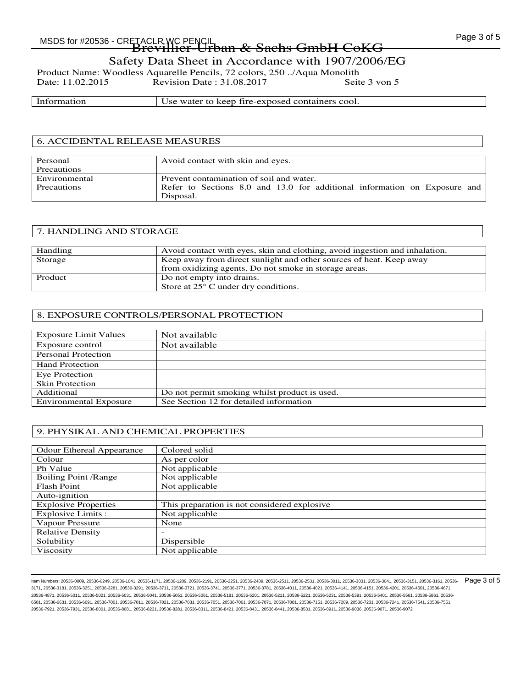# MSDS for #20536 - CRETACLR WC PENCIL CORPORATION AT THE CONTROL RAGE 3 of 5

-TACLR.WC PENGIL<br>Brevillier-Urban & Sachs GmbH CoKG

Safety Data Sheet in Accordance with 1907/2006/EG

Product Name: Woodless Aquarelle Pencils, 72 colors, 250 ../Aqua Monolith<br>Date: 11.02.2015 Revision Date : 31.08.2017 Seit Revision Date : 31.08.2017 Seite 3 von 5

Information Use water to keep fire-exposed containers cool.

### 6. ACCIDENTAL RELEASE MEASURES

| Personal      | Avoid contact with skin and eyes.                                         |
|---------------|---------------------------------------------------------------------------|
| Precautions   |                                                                           |
| Environmental | Prevent contamination of soil and water.                                  |
| Precautions   | Refer to Sections 8.0 and 13.0 for additional information on Exposure and |
|               | Disposal.                                                                 |

### 7. HANDLING AND STORAGE

| Handling | Avoid contact with eyes, skin and clothing, avoid ingestion and inhalation. |
|----------|-----------------------------------------------------------------------------|
| Storage  | Keep away from direct sunlight and other sources of heat. Keep away         |
|          | from oxidizing agents. Do not smoke in storage areas.                       |
| Product  | Do not empty into drains.                                                   |
|          | Store at $25^{\circ}$ C under dry conditions.                               |

### 8. EXPOSURE CONTROLS/PERSONAL PROTECTION

| <b>Exposure Limit Values</b>  | Not available                                 |
|-------------------------------|-----------------------------------------------|
| Exposure control              | Not available                                 |
| Personal Protection           |                                               |
| <b>Hand Protection</b>        |                                               |
| Eye Protection                |                                               |
| <b>Skin Protection</b>        |                                               |
| Additional                    | Do not permit smoking whilst product is used. |
| <b>Environmental Exposure</b> | See Section 12 for detailed information       |

### 9. PHYSIKAL AND CHEMICAL PROPERTIES

| <b>Odour Ethereal Appearance</b> | Colored solid                                 |
|----------------------------------|-----------------------------------------------|
| Colour                           | As per color                                  |
| Ph Value                         | Not applicable                                |
| <b>Boiling Point /Range</b>      | Not applicable                                |
| <b>Flash Point</b>               | Not applicable                                |
| Auto-ignition                    |                                               |
| <b>Explosive Properties</b>      | This preparation is not considered explosive. |
| Explosive Limits :               | Not applicable                                |
| Vapour Pressure                  | None                                          |
| <b>Relative Density</b>          |                                               |
| Solubility                       | Dispersible                                   |
| Viscosity                        | Not applicable                                |

ltem Numbers: 20536-0009, 20536-0249, 20536-1041, 20536-1171, 20536-1209, 20536-2191, 20536-2531, 20536-2531, 20536-2511, 20536-3011, 20536-3031, 20536-3031, 20536-3041, 20536-3151, 20536-3161, 20536-3041, 20536-3041, 2053 3171, 20536-3181, 20536-3251, 20536-3281, 20536-3291, 20536-3711, 20536-3721, 20536-3741, 20536-3771, 20536-3781, 20536-4011, 20536-4021, 20536-4141, 20536-4151, 20536-4201, 20536-4501, 20536-4671, 20536-4871, 20536-5011, 20536-5021, 20536-5031, 20536-5041, 20536-5051, 20536-5061, 20536-5181, 20536-5201, 20536-5211, 20536-5221, 20536-5231, 20536-5391, 20536-5401, 20536-5561, 20536-5861, 20536- 6501, 20536-6631, 20536-6691, 20536-7001, 20536-7011, 20536-7021, 20536-7031, 20536-7061, 20536-7071, 20536-7281, 20536-7209, 20536-7230, 20536-7241, 20536-7241, 20536-7241, 20536-7551, 20536-7921, 20536-7931, 20536-8001, 20536-8081, 20536-8231, 20536-8281, 20536-8311, 20536-8421, 20536-8431, 20536-8441, 20536-8531, 20536-8911, 20536-9036, 20536-9071, 20536-9072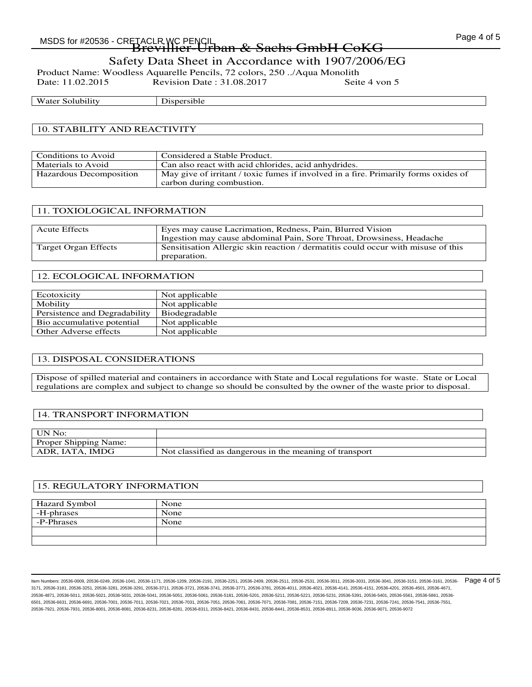# -TACLR.WC PENGIL<br>Brevillier-Urban & Sachs GmbH CoKG

Safety Data Sheet in Accordance with 1907/2006/EG

Product Name: Woodless Aquarelle Pencils, 72 colors, 250 ../Aqua Monolith Revision Date : 31.08.2017 Seite 4 von 5

Water Solubility Dispersible

### 10. STABILITY AND REACTIVITY

| Conditions to Avoid     | Considered a Stable Product.                                                                                     |
|-------------------------|------------------------------------------------------------------------------------------------------------------|
| Materials to Avoid      | Can also react with acid chlorides, acid anhydrides.                                                             |
| Hazardous Decomposition | May give of irritant / toxic fumes if involved in a fire. Primarily forms oxides of<br>carbon during combustion. |

### 11. TOXIOLOGICAL INFORMATION

| <b>Acute Effects</b> | Eyes may cause Lacrimation, Redness, Pain, Blurred Vision<br>Ingestion may cause abdominal Pain, Sore Throat, Drowsiness, Headache |
|----------------------|------------------------------------------------------------------------------------------------------------------------------------|
| Target Organ Effects | Sensitisation Allergic skin reaction / dermatitis could occur with misuse of this<br>preparation.                                  |

### 12. ECOLOGICAL INFORMATION

| Ecotoxicity                   | Not applicable |
|-------------------------------|----------------|
| Mobility                      | Not applicable |
| Persistence and Degradability | Biodegradable  |
| Bio accumulative potential    | Not applicable |
| Other Adverse effects         | Not applicable |

### 13. DISPOSAL CONSIDERATIONS

Dispose of spilled material and containers in accordance with State and Local regulations for waste. State or Local regulations are complex and subject to change so should be consulted by the owner of the waste prior to disposal.

### 14. TRANSPORT INFORMATION

| UN No:                       |                                                         |
|------------------------------|---------------------------------------------------------|
| <b>Proper Shipping Name:</b> |                                                         |
| ADR, IATA, IMDG              | Not classified as dangerous in the meaning of transport |

### 15. REGULATORY INFORMATION

| <b>Hazard Symbol</b> | None |
|----------------------|------|
| -H-phrases           | None |
| -P-Phrases           | None |
|                      |      |
|                      |      |

ltem Numbers: 20536-0009, 20536-0249, 20536-1041, 20536-1171, 20536-1209, 20536-2191, 20536-2531, 20536-2531, 20536-2511, 20536-3011, 20536-3031, 20536-3031, 20536-3041, 20536-3151, 20536-3161, 20536-304 (DT 5 3171, 20536-3181, 20536-3251, 20536-3281, 20536-3291, 20536-3711, 20536-3721, 20536-3741, 20536-3771, 20536-3781, 20536-4011, 20536-4021, 20536-4141, 20536-4151, 20536-4201, 20536-4501, 20536-4671, 20536-4871, 20536-5011, 20536-5021, 20536-5031, 20536-5041, 20536-5051, 20536-5061, 20536-5181, 20536-5201, 20536-5211, 20536-5221, 20536-5231, 20536-5391, 20536-5401, 20536-5561, 20536-5861, 20536- 6501, 20536-6631, 20536-6691, 20536-7001, 20536-7011, 20536-7021, 20536-7031, 20536-7061, 20536-7071, 20536-7281, 20536-7209, 20536-7230, 20536-7241, 20536-7241, 20536-7241, 20536-7551, 20536-7921, 20536-7931, 20536-8001, 20536-8081, 20536-8231, 20536-8281, 20536-8311, 20536-8421, 20536-8431, 20536-8441, 20536-8531, 20536-8911, 20536-9036, 20536-9071, 20536-9072